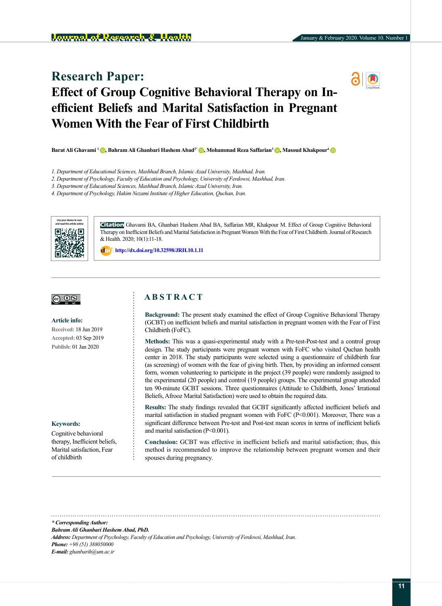# **Research Paper: Effect of Group Cognitive Behavioral Therapy on Inefficient Beliefs and Marital Satisfaction in Pregnant Women With the Fear of First Childbirth**

**Barat Ali Ghavami 1 [,](http://orcid.org/0000-0002-3520-1393) Bahram Ali Ghanbari Hashem Abad2\* [,](http://orcid.org/0000-0002-3520-1393) Mohammad Reza Saffarian3 [,](http://orcid.org/0000-0002-3520-1393) Masoud Khakpour[4](http://orcid.org/0000-0002-3520-1393)**

- *1. Department of Educational Sciences, Mashhad Branch, Islamic Azad University, Mashhad, Iran.*
- *2. Department of Psychology, Faculty of Education and Psychology, University of Ferdowsi, Mashhad, Iran.*

*3. Department of Educational Sciences, Mashhad Branch, Islamic Azad University, Iran.*

*4. Department of Psychology, Hakim Nezami Institute of Higher Education, Quchan, Iran.*



**Citation** Ghavami BA, Ghanbari Hashem Abad BA, Saffarian MR, Khakpour M. Effect of Group Cognitive Behavioral Therapy on Inefficient Beliefs and Marital Satisfaction in Pregnant Women With the Fear of First Childbirth. Journal of Research & Health. 2020; 10(1):11-18.

: **http://dx.doi.org/10.32598/JRH.10.1.11**

#### <u>(ഒ 0 � </u>

**Article info:**

**Received:** 18 Jun 2019 **Accepted:** 03 Sep 2019 **Publish:** 01 Jan 2020

#### **Keywords:**

[Cognitive behavioral](https://www.ncbi.nlm.nih.gov/mesh/68015928)  [therapy,](https://www.ncbi.nlm.nih.gov/mesh/68015928) Inefficient beliefs, Marital satisfaction, Fear of childbirth

# **A B S T R A C T**

**Background:** The present study examined the effect of Group Cognitive Behavioral Therapy (GCBT) on inefficient beliefs and marital satisfaction in pregnant women with the Fear of First Childbirth (FoFC).

**Methods:** This was a quasi-experimental study with a Pre-test-Post-test and a control group design. The study participants were pregnant women with FoFC who visited Quchan health center in 2018. The study participants were selected using a questionnaire of childbirth fear (as screening) of women with the fear of giving birth. Then, by providing an informed consent form, women volunteering to participate in the project (39 people) were randomly assigned to the experimental (20 people) and control (19 people) groups. The experimental group attended ten 90-minute GCBT sessions. Three questionnaires (Attitude to Childbirth, Jones' Irrational Beliefs, Afrooz Marital Satisfaction) were used to obtain the required data.

**Results:** The study findings revealed that GCBT significantly affected inefficient beliefs and marital satisfaction in studied pregnant women with FoFC (P<0.001). Moreover, There was a significant difference between Pre-test and Post-test mean scores in terms of inefficient beliefs and marital satisfaction (P<0.001).

**Conclusion:** GCBT was effective in inefficient beliefs and marital satisfaction; thus, this method is recommended to improve the relationship between pregnant women and their spouses during pregnancy.

*\* Corresponding Author:*

*Bahram Ali Ghanbari Hashem Abad, PhD.* 

*Address: Department of Psychology, Faculty of Education and Psychology, University of Ferdowsi, Mashhad, Iran.*

*Phone: +98 (51) 388050000 E-mail: ghanbarih@um.ac.ir*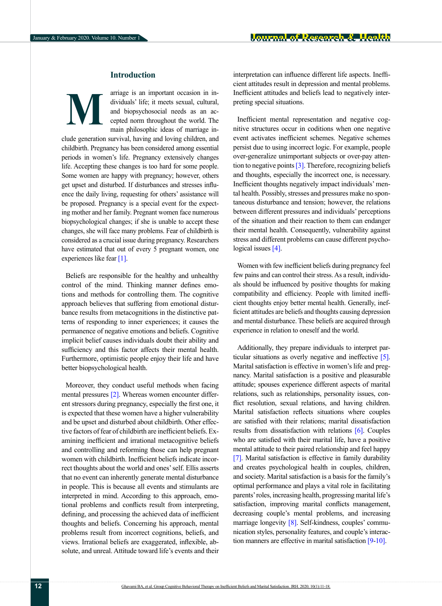# **Introduction**

arriage is an important occasion in individuals' life; it meets sexual, cultural, and biopsychosocial needs as an accepted norm throughout the world. The main philosophic ideas of marriage in-**M**

clude generation survival, having and loving children, and childbirth. Pregnancy has been considered among essential periods in women's life. Pregnancy extensively changes life. Accepting these changes is too hard for some people. Some women are happy with pregnancy; however, others get upset and disturbed. If disturbances and stresses influence the daily living, requesting for others' assistance will be proposed. Pregnancy is a special event for the expecting mother and her family. Pregnant women face numerous biopsychological changes; if she is unable to accept these changes, she will face many problems. Fear of childbirth is considered as a crucial issue during pregnancy. Researchers have estimated that out of every 5 pregnant women, one experiences like fear [\[1\]](#page-6-0).

Beliefs are responsible for the healthy and unhealthy control of the mind. Thinking manner defines emotions and methods for controlling them. The cognitive approach believes that suffering from emotional disturbance results from metacognitions in the distinctive patterns of responding to inner experiences; it causes the permanence of negative emotions and beliefs. Cognitive implicit belief causes individuals doubt their ability and sufficiency and this factor affects their mental health. Furthermore, optimistic people enjoy their life and have better biopsychological health.

Moreover, they conduct useful methods when facing mental pressures [\[2\]](#page-6-1). Whereas women encounter different stressors during pregnancy, especially the first one, it is expected that these women have a higher vulnerability and be upset and disturbed about childbirth. Other effective factors of fear of childbirth are inefficient beliefs. Examining inefficient and irrational metacognitive beliefs and controlling and reforming those can help pregnant women with childbirth. Inefficient beliefs indicate incorrect thoughts about the world and ones' self. Ellis asserts that no event can inherently generate mental disturbance in people. This is because all events and stimulants are interpreted in mind. According to this approach, emotional problems and conflicts result from interpreting, defining, and processing the achieved data of inefficient thoughts and beliefs. Concerning his approach, mental problems result from incorrect cognitions, beliefs, and views. Irrational beliefs are exaggerated, inflexible, absolute, and unreal. Attitude toward life's events and their interpretation can influence different life aspects. Inefficient attitudes result in depression and mental problems. Inefficient attitudes and beliefs lead to negatively interpreting special situations.

Inefficient mental representation and negative cognitive structures occur in coditions when one negative event activates inefficient schemes. Negative schemes persist due to using incorrect logic. For example, people over-generalize unimportant subjects or over-pay attention to negative points [\[3\]](#page-6-2). Therefore, recognizing beliefs and thoughts, especially the incorrect one, is necessary. Inefficient thoughts negatively impact individuals' mental health. Possibly, stresses and pressures make no spontaneous disturbance and tension; however, the relations between different pressures and individuals' perceptions of the situation and their reaction to them can endanger their mental health. Consequently, vulnerability against stress and different problems can cause different psycho-logical issues [\[4\]](#page-6-3).

Women with few inefficient beliefs during pregnancy feel few pains and can control their stress. As a result, individuals should be influenced by positive thoughts for making compatibility and efficiency. People with limited inefficient thoughts enjoy better mental health. Generally, inefficient attitudes are beliefs and thoughts causing depression and mental disturbance. These beliefs are acquired through experience in relation to oneself and the world.

Additionally, they prepare individuals to interpret particular situations as overly negative and ineffective [\[5\]](#page-6-4). Marital satisfaction is effective in women's life and pregnancy. Marital satisfaction is a positive and pleasurable attitude; spouses experience different aspects of marital relations, such as relationships, personality issues, conflict resolution, sexual relations, and having children. Marital satisfaction reflects situations where couples are satisfied with their relations; marital dissatisfaction results from dissatisfaction with relations [\[6\]](#page-6-5). Couples who are satisfied with their marital life, have a positive mental attitude to their paired relationship and feel happy [\[7\]](#page-6-6). Marital satisfaction is effective in family durability and creates psychological health in couples, children, and society. Marital satisfaction is a basis for the family's optimal performance and plays a vital role in facilitating parents' roles, increasing health, progressing marital life's satisfaction, improving marital conflicts management, decreasing couple's mental problems, and increasing marriage longevity [\[8\]](#page-6-7). Self-kindness, couples' communication styles, personality features, and couple's interaction manners are effective in marital satisfaction [\[9](#page-6-8)-[10\]](#page-7-0).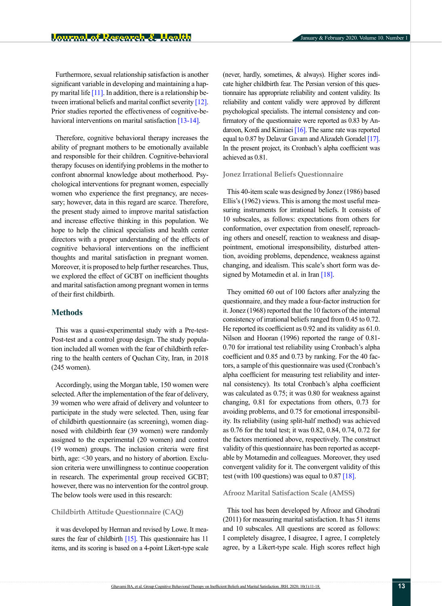Furthermore, sexual relationship satisfaction is another significant variable in developing and maintaining a happy marital life  $[11]$ . In addition, there is a relationship be-tween irrational beliefs and marital conflict severity [\[12\]](#page-7-2). Prior studies reported the effectiveness of cognitive-be-havioral interventions on marital satisfaction [\[13](#page-7-3)[-14\]](#page-7-4).

Therefore, cognitive behavioral therapy increases the ability of pregnant mothers to be emotionally available and responsible for their children. Cognitive-behavioral therapy focuses on identifying problems in the mother to confront abnormal knowledge about motherhood. Psychological interventions for pregnant women, especially women who experience the first pregnancy, are necessary; however, data in this regard are scarce. Therefore, the present study aimed to improve marital satisfaction and increase effective thinking in this population. We hope to help the clinical specialists and health center directors with a proper understanding of the effects of cognitive behavioral interventions on the inefficient thoughts and marital satisfaction in pregnant women. Moreover, it is proposed to help further researches. Thus, we explored the effect of GCBT on inefficient thoughts and marital satisfaction among pregnant women in terms of their first childbirth.

## **Methods**

This was a quasi-experimental study with a Pre-test-Post-test and a control group design. The study population included all women with the fear of childbirth referring to the health centers of Quchan City, Iran, in 2018 (245 women).

Accordingly, using the Morgan table, 150 women were selected. After the implementation of the fear of delivery, 39 women who were afraid of delivery and volunteer to participate in the study were selected. Then, using fear of childbirth questionnaire (as screening), women diagnosed with childbirth fear (39 women) were randomly assigned to the experimental (20 women) and control (19 women) groups. The inclusion criteria were first birth, age: <30 years, and no history of abortion. Exclusion criteria were unwillingness to continue cooperation in research. The experimental group received GCBT; however, there was no intervention for the control group. The below tools were used in this research:

### **Childbirth Attitude Questionnaire (CAQ)**

it was developed by Herman and revised by Lowe. It mea-sures the fear of childbirth [\[15\]](#page-7-5). This questionnaire has 11 items, and its scoring is based on a 4-point Likert-type scale (never, hardly, sometimes, & always). Higher scores indicate higher childbirth fear. The Persian version of this questionnaire has appropriate reliability and content validity. Its reliability and content validly were approved by different psychological specialists. The internal consistency and confirmatory of the questionnaire were reported as 0.83 by [An](http://ijogi.mums.ac.ir/?_action=article&au=82872&_au=Nafiseh++Andaroon)[daroon,](http://ijogi.mums.ac.ir/?_action=article&au=82872&_au=Nafiseh++Andaroon) [Kordi and](http://ijogi.mums.ac.ir/?_action=article&au=80353&_au=Masoumeh++Kordi) [Kimiaei](http://ijogi.mums.ac.ir/?_action=article&au=66339&_au=Sayyed+Ali++Kimiaei) [\[16\]](#page-7-6). The same rate was reported equal to 0.87 by Delavar Gavam and Alizadeh Goradel [\[17\]](#page-7-7). In the present project, its Cronbach's alpha coefficient was achieved as 0.81.

## **Jonez Irrational Beliefs Questionnaire**

This 40-item scale was designed by Jonez (1986) based Ellis's (1962) views. This is among the most useful measuring instruments for irrational beliefs. It consists of 10 subscales, as follows: expectations from others for conformation, over expectation from oneself, reproaching others and oneself, reaction to weakness and disappointment, emotional irresponsibility, disturbed attention, avoiding problems, dependence, weakness against changing, and idealism. This scale's short form was de-signed by Motamedin et al. in Iran [\[18\]](#page-7-8).

They omitted 60 out of 100 factors after analyzing the questionnaire, and they made a four-factor instruction for it. Jonez (1968) reported that the 10 factors of the internal consistency of irrational beliefs ranged from 0.45 to 0.72. He reported its coefficient as 0.92 and its validity as 61.0. Nilson and Hooran (1996) reported the range of 0.81- 0.70 for irrational test reliability using Cronbach's alpha coefficient and 0.85 and 0.73 by ranking. For the 40 factors, a sample of this questionnaire was used (Cronbach's alpha coefficient for measuring test reliability and internal consistency). Its total Cronbach's alpha coefficient was calculated as 0.75; it was 0.80 for weakness against changing, 0.81 for expectations from others, 0.73 for avoiding problems, and 0.75 for emotional irresponsibility. Its reliability (using split-half method) was achieved as 0.76 for the total test; it was 0.82, 0.84, 0.74, 0.72 for the factors mentioned above, respectively. The construct validity of this questionnaire has been reported as acceptable by Motamedin and colleagues. Moreover, they used convergent validity for it. The convergent validity of this test (with 100 questions) was equal to  $0.87$  [\[18\]](#page-7-8).

### **Afrooz Marital Satisfaction Scale (AMSS)**

This tool has been developed by Afrooz and Ghodrati (2011) for measuring marital satisfaction. It has 51 items and 10 subscales. All questions are scored as follows: I completely disagree, I disagree, I agree, I completely agree, by a Likert-type scale. High scores reflect high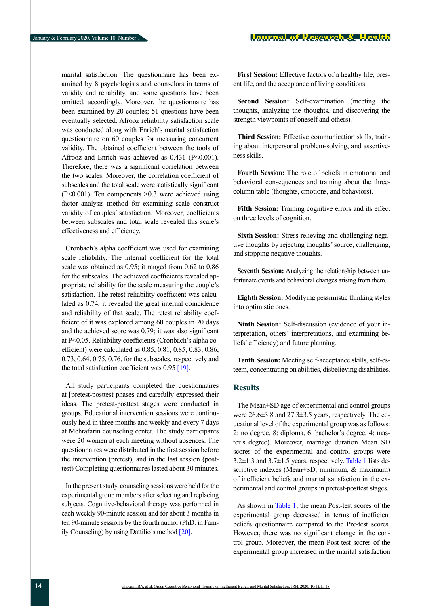marital satisfaction. The questionnaire has been examined by 8 psychologists and counselors in terms of validity and reliability, and some questions have been omitted, accordingly. Moreover, the questionnaire has been examined by 20 couples; 51 questions have been eventually selected. Afrooz reliability satisfaction scale was conducted along with Enrich's marital satisfaction questionnaire on 60 couples for measuring concurrent validity. The obtained coefficient between the tools of Afrooz and Enrich was achieved as  $0.431$  (P<0.001). Therefore, there was a significant correlation between the two scales. Moreover, the correlation coefficient of subscales and the total scale were statistically significant  $(P<0.001)$ . Ten components  $>0.3$  were achieved using factor analysis method for examining scale construct validity of couples' satisfaction. Moreover, coefficients between subscales and total scale revealed this scale's effectiveness and efficiency.

Cronbach's alpha coefficient was used for examining scale reliability. The internal coefficient for the total scale was obtained as 0.95; it ranged from 0.62 to 0.86 for the subscales. The achieved coefficients revealed appropriate reliability for the scale measuring the couple's satisfaction. The retest reliability coefficient was calculated as 0.74; it revealed the great internal coincidence and reliability of that scale. The retest reliability coefficient of it was explored among 60 couples in 20 days and the achieved score was 0.79; it was also significant at P<0.05. Reliability coefficients (Cronbach's alpha coefficient) were calculated as 0.85, 0.81, 0.85, 0.83, 0.86, 0.73, 0.64, 0.75, 0.76, for the subscales, respectively and the total satisfaction coefficient was  $0.95$  [\[19\]](#page-7-9).

All study participants completed the questionnaires at [pretest-posttest phases and carefully expressed their ideas. The pretest-posttest stages were conducted in groups. Educational intervention sessions were continuously held in three months and weekly and every 7 days at Mehrafarin counseling center. The study participants were 20 women at each meeting without absences. The questionnaires were distributed in the first session before the intervention (pretest), and in the last session (posttest) Completing questionnaires lasted about 30 minutes.

In the present study, counseling sessions were held for the experimental group members after selecting and replacing subjects. Cognitive-behavioral therapy was performed in each weekly 90-minute session and for about 3 months in ten 90-minute sessions by the fourth author (PhD. in Family Counseling) by using Dattilio's method [\[20\]](#page-7-10).

**First Session:** Effective factors of a healthy life, present life, and the acceptance of living conditions.

**Second Session:** Self-examination (meeting the thoughts, analyzing the thoughts, and discovering the strength viewpoints of oneself and others).

**Third Session:** Effective communication skills, training about interpersonal problem-solving, and assertiveness skills.

**Fourth Session:** The role of beliefs in emotional and behavioral consequences and training about the threecolumn table (thoughts, emotions, and behaviors).

**Fifth Session:** Training cognitive errors and its effect on three levels of cognition.

**Sixth Session:** Stress-relieving and challenging negative thoughts by rejecting thoughts' source, challenging, and stopping negative thoughts.

**Seventh Session:** Analyzing the relationship between unfortunate events and behavioral changes arising from them.

**Eighth Session:** Modifying pessimistic thinking styles into optimistic ones.

**Ninth Session:** Self-discussion (evidence of your interpretation, others' interpretations, and examining beliefs' efficiency) and future planning.

**Tenth Session:** Meeting self-acceptance skills, self-esteem, concentrating on abilities, disbelieving disabilities.

### **Results**

The Mean±SD age of experimental and control groups were 26.6±3.8 and 27.3±3.5 years, respectively. The educational level of the experimental group was as follows: 2: no degree, 8: diploma, 6: bachelor's degree, 4: master's degree). Moreover, marriage duration Mean±SD scores of the experimental and control groups were  $3.2\pm1.3$  and  $3.7\pm1.5$  years, respectively. [Table 1](#page-4-0) lists descriptive indexes (Mean±SD, minimum, & maximum) of inefficient beliefs and marital satisfaction in the experimental and control groups in pretest-posttest stages.

As shown in [Table 1,](#page-4-0) the mean Post-test scores of the experimental group decreased in terms of inefficient beliefs questionnaire compared to the Pre-test scores. However, there was no significant change in the control group. Moreover, the mean Post-test scores of the experimental group increased in the marital satisfaction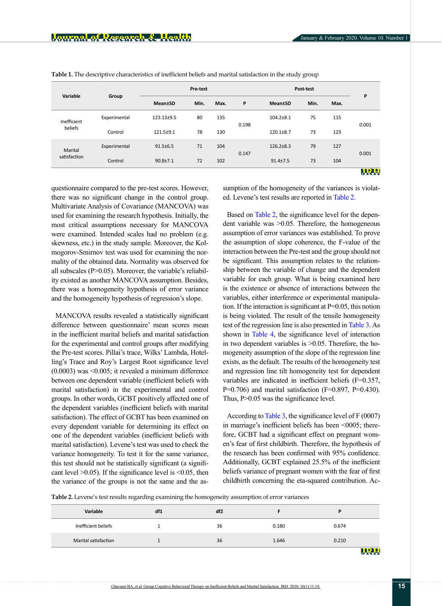| Variable               | Group        | Pre-test       |      |      |       | Post-test                   |      |      | P           |
|------------------------|--------------|----------------|------|------|-------|-----------------------------|------|------|-------------|
|                        |              | <b>Mean±SD</b> | Min. | Max. | P     | <b>Mean</b> <sup>t</sup> SD | Min. | Max. |             |
| Inefficient<br>beliefs | Experimental | 123.13±9.5     | 80   | 135  |       | $104.2 \pm 8.1$             | 75   | 115  | 0.001       |
|                        | Control      | 121.5±9.1      | 78   | 130  | 0.198 | $120.1 \pm 8.7$             | 73   | 123  |             |
| Marital                | Experimental | $91.5 \pm 6.5$ | 71   | 104  | 0.147 | $126.2 \pm 8.3$             | 79   | 127  | 0.001       |
| satisfaction           | Control      | $90.8 + 7.1$   | 72   | 102  |       | $91.4 \pm 7.5$              | 73   | 104  |             |
|                        |              |                |      |      |       |                             |      |      | <u> URU</u> |

<span id="page-4-0"></span>**Table 1.** The descriptive characteristics of inefficient beliefs and marital satisfaction in the study group

questionnaire compared to the pre-test scores. However, there was no significant change in the control group. Multivariate Analysis of Covariance (MANCOVA) was used for examining the research hypothesis. Initially, the most critical assumptions necessary for MANCOVA were examined. Intended scales had no problem (e.g. skewness, etc.) in the study sample. Moreover, the Kolmogorov-Smirnov test was used for examining the normality of the obtained data. Normality was observed for all subscales (P>0.05). Moreover, the variable's reliability existed as another MANCOVA assumption. Besides, there was a homogeneity hypothesis of error variance and the homogeneity hypothesis of regression's slope.

MANCOVA results revealed a statistically significant difference between questionnaire' mean scores mean in the inefficient marital beliefs and marital satisfaction for the experimental and control groups after modifying the Pre-test scores. Pillai's trace, Wilks' Lambda, Hotelling's Trace and Roy's Largest Root significance level (0.0003) was <0.005; it revealed a minimum difference between one dependent variable (inefficient beliefs with marital satisfaction) in the experimental and control groups. In other words, GCBT positively affected one of the dependent variables (inefficient beliefs with marital satisfaction). The effect of GCBT has been examined on every dependent variable for determining its effect on one of the dependent variables (inefficient beliefs with marital satisfaction). Levene's test was used to check the variance homogeneity. To test it for the same variance, this test should not be statistically significant (a significant level  $>0.05$ ). If the significance level is  $<0.05$ , then the variance of the groups is not the same and the assumption of the homogeneity of the variances is violated. Levene's test results are reported in [Table 2](#page-4-1).

Based on [Table 2](#page-4-1), the significance level for the dependent variable was ˃0.05. Therefore, the homogeneous assumption of error variances was established. To prove the assumption of slope coherence, the F-value of the interaction between the Pre-test and the group should not be significant. This assumption relates to the relationship between the variable of change and the dependent variable for each group. What is being examined here is the existence or absence of interactions between the variables, either interference or experimental manipulation. If the interaction is significant at P=0.05, this notion is being violated. The result of the tensile homogeneity test of the regression line is also presented in [Table 3](#page-5-0). As shown in [Table 4,](#page-5-1) the significance level of interaction in two dependent variables is  $>0.05$ . Therefore, the homogeneity assumption of the slope of the regression line exists, as the default. The results of the homogeneity test and regression line tilt homogeneity test for dependent variables are indicated in inefficient beliefs (F=0.357, P=0.706) and marital satisfaction (F=0.897, P=0.430). Thus, P 
solo 0.05 was the significance level.

According to [Table 3,](#page-5-0) the significance level of F (0007) in marriage's inefficient beliefs has been <0005; therefore, GCBT had a significant effect on pregnant women's fear of first childbirth. Therefore, the hypothesis of the research has been confirmed with 95% confidence. Additionally, GCBT explained 25.5% of the inefficient beliefs variance of pregnant women with the fear of first childbirth concerning the eta-squared contribution. Ac-

<span id="page-4-1"></span>**Table 2.** Levene's test results regarding examining the homogeneity assumption of error variances

| Variable             | df1 | df <sub>2</sub> |       | D                             |
|----------------------|-----|-----------------|-------|-------------------------------|
| Inefficient beliefs  |     | 36              | 0.180 | 0.674                         |
| Marital satisfaction |     | 36              | 1.646 | 0.210                         |
|                      |     |                 |       | m<br><b>The Second Second</b> |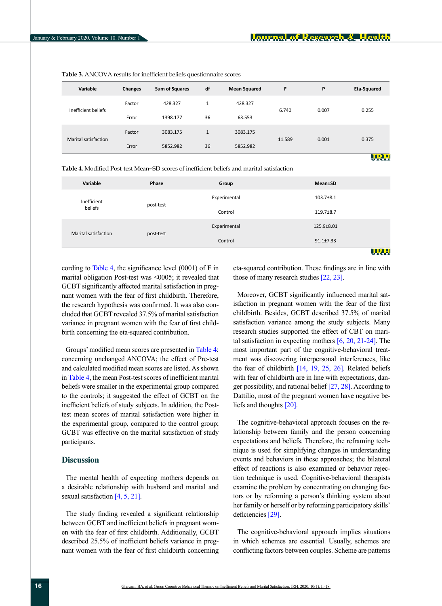| Variable             | <b>Changes</b> | <b>Sum of Squares</b> | df           | <b>Mean Squared</b> | F      | P     | Eta-Squared |
|----------------------|----------------|-----------------------|--------------|---------------------|--------|-------|-------------|
| Inefficient beliefs  | Factor         | 428.327               | $\mathbf{1}$ | 428.327             | 6.740  | 0.007 | 0.255       |
|                      | Error          | 1398.177              | 36           | 63.553              |        |       |             |
|                      | Factor         | 3083.175              | $\mathbf{1}$ | 3083.175            |        |       |             |
| Marital satisfaction | Error          | 5852.982              | 36           | 5852.982            | 11.589 | 0.001 | 0.375       |
|                      |                |                       |              |                     |        |       | <u>URL</u>  |

<span id="page-5-0"></span>**Table 3.** ANCOVA results for inefficient beliefs questionnaire scores

<span id="page-5-1"></span>**Table 4.** Modified Post-test Mean±SD scores of inefficient beliefs and marital satisfaction

| Variable             | Phase     | Group        | <b>Mean±SD</b>  |
|----------------------|-----------|--------------|-----------------|
| Inefficient          | post-test | Experimental | $103.7 \pm 8.1$ |
| beliefs              |           | Control      | 119.7±8.7       |
| Marital satisfaction | post-test | Experimental | 125.9±8.01      |
|                      |           | Control      | $91.1 \pm 7.33$ |
|                      |           |              | URH             |

cording to [Table 4](#page-5-1), the significance level  $(0001)$  of F in marital obligation Post-test was <0005; it revealed that GCBT significantly affected marital satisfaction in pregnant women with the fear of first childbirth. Therefore, the research hypothesis was confirmed. It was also concluded that GCBT revealed 37.5% of marital satisfaction variance in pregnant women with the fear of first childbirth concerning the eta-squared contribution.

Groups' modified mean scores are presented in [Table 4](#page-5-1); concerning unchanged ANCOVA; the effect of Pre-test and calculated modified mean scores are listed. As shown in [Table 4](#page-5-1), the mean Post-test scores of inefficient marital beliefs were smaller in the experimental group compared to the controls; it suggested the effect of GCBT on the inefficient beliefs of study subjects. In addition, the Posttest mean scores of marital satisfaction were higher in the experimental group, compared to the control group; GCBT was effective on the marital satisfaction of study participants.

# **Discussion**

The mental health of expecting mothers depends on a desirable relationship with husband and marital and sexual satisfaction [\[4,](#page-6-3) [5,](#page-6-4) [21\]](#page-7-11).

The study finding revealed a significant relationship between GCBT and inefficient beliefs in pregnant women with the fear of first childbirth. Additionally, GCBT described 25.5% of inefficient beliefs variance in pregnant women with the fear of first childbirth concerning eta-squared contribution. These findings are in line with those of many research studies [22, 23].

Moreover, GCBT significantly influenced marital satisfaction in pregnant women with the fear of the first childbirth. Besides, GCBT described 37.5% of marital satisfaction variance among the study subjects. Many research studies supported the effect of CBT on marital satisfaction in expecting mothers [\[6,](#page-6-5) [20,](#page-7-10) [21-24\]](#page-7-11). The most important part of the cognitive-behavioral treatment was discovering interpersonal interferences, like the fear of childbirt[h \[14,](#page-7-4) [19,](#page-7-9) [25,](#page-6-7) [26\]](#page-7-12). Related beliefs with fear of childbirth are in line with expectations, danger possibility, and rational belief [\[27,](#page-7-13) [28\]](#page-7-14). According to Dattilio, most of the pregnant women have negative beliefs and thoughts [\[20\]](#page-7-10).

The cognitive-behavioral approach focuses on the relationship between family and the person concerning expectations and beliefs. Therefore, the reframing technique is used for simplifying changes in understanding events and behaviors in these approaches; the bilateral effect of reactions is also examined or behavior rejection technique is used. Cognitive-behavioral therapists examine the problem by concentrating on changing factors or by reforming a person's thinking system about her family or herself or by reforming participatory skills' deficiencies [\[29\].](#page-7-15)

The cognitive-behavioral approach implies situations in which schemes are essential. Usually, schemes are conflicting factors between couples. Scheme are patterns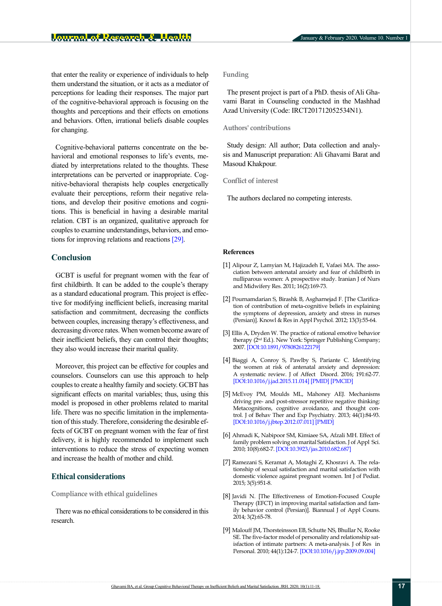that enter the reality or experience of individuals to help them understand the situation, or it acts as a mediator of perceptions for leading their responses. The major part of the cognitive-behavioral approach is focusing on the thoughts and perceptions and their effects on emotions and behaviors. Often, irrational beliefs disable couples for changing.

Cognitive-behavioral patterns concentrate on the behavioral and emotional responses to life's events, mediated by interpretations related to the thoughts. These interpretations can be perverted or inappropriate. Cognitive-behavioral therapists help couples energetically evaluate their perceptions, reform their negative relations, and develop their positive emotions and cognitions. This is beneficial in having a desirable marital relation. CBT is an organized, qualitative approach for couples to examine understandings, behaviors, and emotions for improving relations and reactions [\[29\]](#page-7-15).

## **Conclusion**

GCBT is useful for pregnant women with the fear of first childbirth. It can be added to the couple's therapy as a standard educational program. This project is effective for modifying inefficient beliefs, increasing marital satisfaction and commitment, decreasing the conflicts between couples, increasing therapy's effectiveness, and decreasing divorce rates. When women become aware of their inefficient beliefs, they can control their thoughts; they also would increase their marital quality.

Moreover, this project can be effective for couples and counselors. Counselors can use this approach to help couples to create a healthy family and society. GCBT has significant effects on marital variables; thus, using this model is proposed in other problems related to marital life. There was no specific limitation in the implementation of this study. Therefore, considering the desirable effects of GCBT on pregnant women with the fear of first delivery, it is highly recommended to implement such interventions to reduce the stress of expecting women and increase the health of mother and child.

# **Ethical considerations**

**Compliance with ethical guidelines**

There was no ethical considerations to be considered in this research.

## **Funding**

The present project is part of a PhD. thesis of Ali Ghavami Barat in Counseling conducted in the Mashhad Azad University (Code: IRCT201712052534N1).

#### **Authors' contributions**

Study design: All author; Data collection and analysis and Manuscript preparation: Ali Ghavami Barat and Masoud Khakpour.

#### **Conflict of interest**

The authors declared no competing interests.

#### **References**

- <span id="page-6-0"></span>[1] Alipour Z, Lamyian M, Hajizadeh E, Vafaei MA. The association between antenatal anxiety and fear of childbirth in nulliparous women: A prospective study. Iranian J of Nurs and Midwifery Res. 2011; 16(2):169-73.
- <span id="page-6-1"></span>[2] Pournamdarian S, Birashk B, Asgharnejad F. [The Clarification of contribution of meta-cognitive beliefs in explaining the symptoms of depression, anxiety and stress in nurses (Persian)]. Knowl & Res in Appl Psychol. 2012; 13(3):55-64.
- <span id="page-6-2"></span>[3] Ellis A, Dryden W. The practice of rational emotive behavior therapy (2nd Ed.). New York: Springer Publishing Company; 2007. [\[DOI:10.1891/9780826122179](https://doi.org/10.1891/9780826122179)]
- <span id="page-6-3"></span>[4] Biaggi A, Conroy S, Pawlby S, Pariante C. Identifying the women at risk of antenatal anxiety and depression: A systematic review. J of Affect Disord. 2016; 191:62-77. [\[DOI:10.1016/j.jad.2015.11.014](https://doi.org/10.1016/j.jad.2015.11.014)] [\[PMID\]](https://www.ncbi.nlm.nih.gov/pubmed/26650969) [[PMCID\]](http://www.ncbi.nlm.nih.gov/pmc/articles/PMC4879174)
- <span id="page-6-4"></span>[5] McEvoy PM, Moulds ML, Mahoney AEJ. Mechanisms driving pre- and post-stressor repetitive negative thinking: Metacognitions, cognitive avoidance, and thought control. J of Behav Ther and Exp Psychiatry. 2013; 44(1):84-93. [\[DOI:10.1016/j.jbtep.2012.07.011\]](https://doi.org/10.1016/j.jbtep.2012.07.011) [[PMID](https://www.ncbi.nlm.nih.gov/pubmed/22935546)]
- <span id="page-6-5"></span>[6] Ahmadi K, Nabipoor SM, Kimiaee SA, Afzali MH. Effect of family problem solving on marital Satisfaction. J of Appl Sci. 2010; 10(8):682-7. [\[DOI:10.3923/jas.2010.682.687\]](https://doi.org/10.3923/jas.2010.682.687)
- <span id="page-6-6"></span>[7] Ramezani S, Keramat A, Motaghi Z, Khosravi A. The relationship of sexual satisfaction and marital satisfaction with domestic violence against pregnant women. Int J of Pediat. 2015; 3(5):951-8.
- <span id="page-6-7"></span>[8] Javidi N. [The Effectiveness of Emotion-Focused Couple Therapy (EFCT) in improving marital satisfaction and family behavior control (Persian)]. Biannual J of Appl Couns. 2014; 3(2):65-78.
- <span id="page-6-8"></span>[9] Malouff JM, Thorsteinsson EB, Schutte NS, Bhullar N, Rooke SE. The five-factor model of personality and relationship satisfaction of intimate partners: A meta-analysis. J of Res in Personal. 2010; 44(1):124-7. [\[DOI:10.1016/j.jrp.2009.09.004](https://doi.org/10.1016/j.jrp.2009.09.004)]